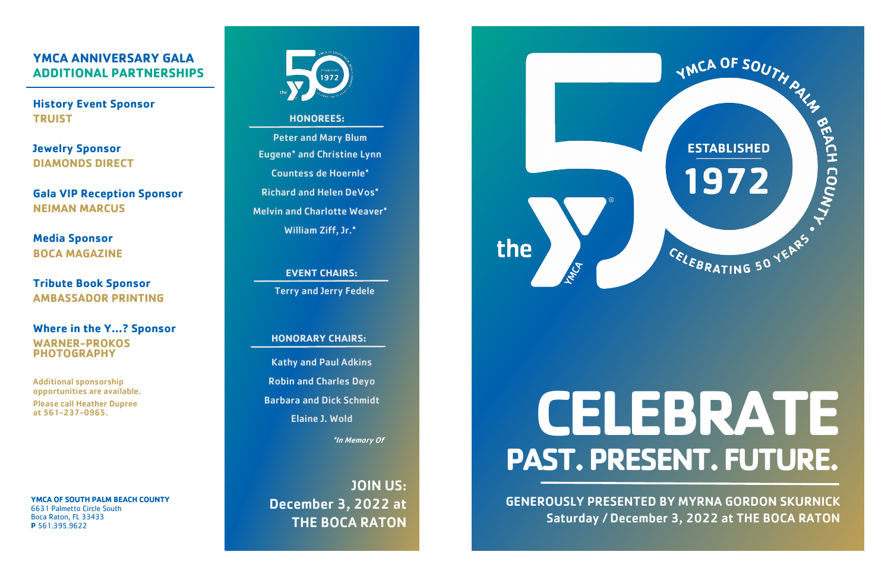**YMCA OF SOUTH PALM BEACH COUNTY** 6631 Palmetto Circle South Boca Raton, FL 33433 **P** 561.395.9622



#### **HONOREES:**

Peter and Mary Blum Eugene\* and Christine Lynn Countess de Hoernle\* Richard and Helen DeVos\* Melvin and Charlotte Weaver\* William Ziff, Jr.\*

> **EVENT CHAIRS:** Terry and Jerry Fedele

#### **HONORARY CHAIRS:**

Kathy and Paul Adkins Robin and Charles Deyo Barbara and Dick Schmidt Elaine J. Wold

\*In Memory Of

# Please call Heather Dupree<br>at 561-237-0965. **Claime J. Wold PAST. PRESENT. FUTURE.**

JOIN US: December 3, 2022 at THE BOCA RATON



### **YMCA ANNIVERSARY GALA ADDITIONAL PARTNERSHIPS**

**History Event Sponsor TRUIST**

**Jewelry Sponsor DIAMONDS DIRECT**

**Gala VIP Reception Sponsor NEIMAN MARCUS**

**Media Sponsor BOCA MAGAZINE**

**Tribute Book Sponsor AMBASSADOR PRINTING**

**Where in the Y…? Sponsor WARNER-PROKOS PHOTOGRAPHY**

Additional sponsorship opportunities are available. Please call Heather Dupree

> GENEROUSLY PRESENTED BY MYRNA GORDON SKURNICK Saturday / December 3, 2022 at THE BOCA RATON